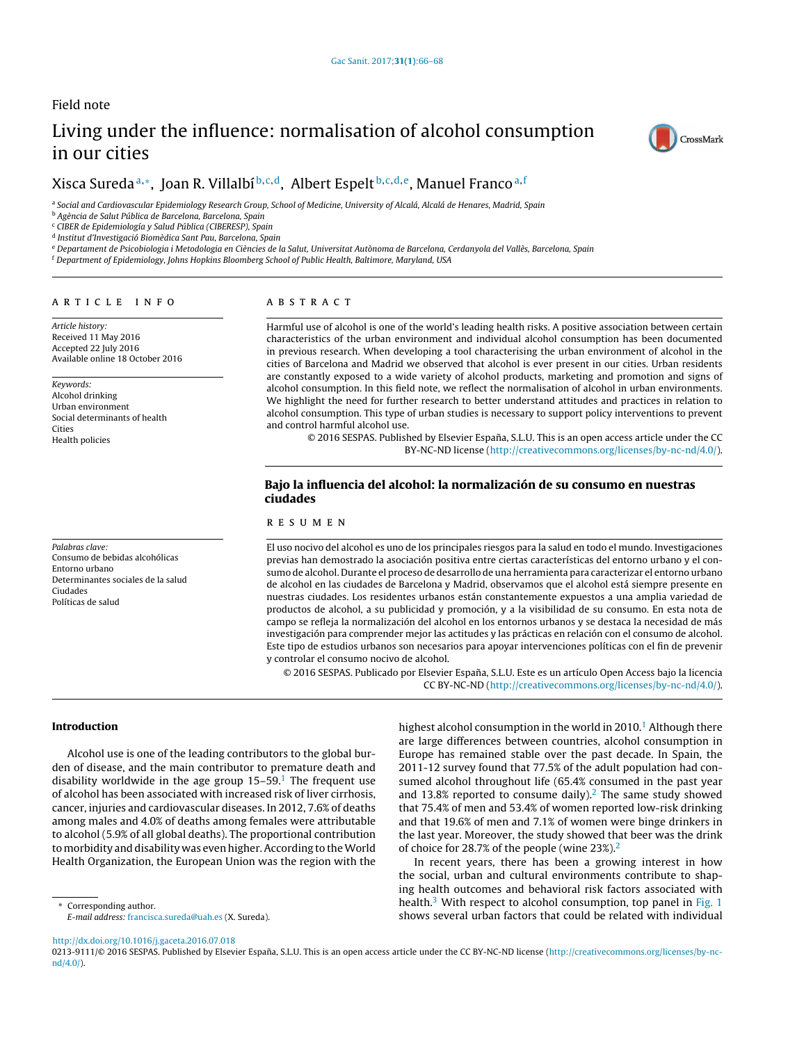# Field note

# Living under the influence: normalisation of alcohol consumption in our cities



# Xisca Suredaª,\*, Joan R. Villalbí<sup>b,c,d</sup>, Albert Espelt<sup>b,c,d,e</sup>, Manuel Franco<sup>a,f</sup>

a Social and Cardiovascular Epidemiology Research Group, School of Medicine, University of Alcalá, Alcalá de Henares, Madrid, Spain

<sup>b</sup> Agència de Salut Pública de Barcelona, Barcelona, Spain

<sup>c</sup> CIBER de Epidemiología y Salud Pública (CIBERESP), Spain

<sup>d</sup> Institut d'Investigació Biomèdica Sant Pau, Barcelona, Spain

e Departament de Psicobiologia i Metodologia en Ciències de la Salut, Universitat Autònoma de Barcelona, Cerdanyola del Vallès, Barcelona, Spain

<sup>f</sup> Department of Epidemiology, Johns Hopkins Bloomberg School of Public Health, Baltimore, Maryland, USA

#### a r t i c l e i n f o

Article history: Received 11 May 2016 Accepted 22 July 2016 Available online 18 October 2016

Keywords: Alcohol drinking Urban environment Social determinants of health Cities Health policies

Palabras clave: Consumo de bebidas alcohólicas Entorno urbano Determinantes sociales de la salud Ciudades Políticas de salud

# A B S T R A C T

Harmful use of alcohol is one of the world's leading health risks. A positive association between certain characteristics of the urban environment and individual alcohol consumption has been documented in previous research. When developing a tool characterising the urban environment of alcohol in the cities of Barcelona and Madrid we observed that alcohol is ever present in our cities. Urban residents are constantly exposed to a wide variety of alcohol products, marketing and promotion and signs of alcohol consumption. In this field note, we reflect the normalisation of alcohol in urban environments. We highlight the need for further research to better understand attitudes and practices in relation to alcohol consumption. This type of urban studies is necessary to support policy interventions to prevent and control harmful alcohol use.

© 2016 SESPAS. Published by Elsevier España, S.L.U. This is an open access article under the CC BY-NC-ND license [\(http://creativecommons.org/licenses/by-nc-nd/4.0/](http://creativecommons.org/licenses/by-nc-nd/4.0/)).

# Bajo la influencia del alcohol: la normalización de su consumo en nuestras ciudades

# r e s u m e n

El uso nocivo del alcohol es uno de los principales riesgos para la salud en todo el mundo. Investigaciones previas han demostrado la asociación positiva entre ciertas características del entorno urbano y el consumo de alcohol. Durante el proceso de desarrollo de una herramienta para caracterizar el entorno urbano de alcohol en las ciudades de Barcelona y Madrid, observamos que el alcohol está siempre presente en nuestras ciudades. Los residentes urbanos están constantemente expuestos a una amplia variedad de productos de alcohol, a su publicidad y promoción, y a la visibilidad de su consumo. En esta nota de campo se refleja la normalización del alcohol en los entornos urbanos y se destaca la necesidad de más investigación para comprender mejor las actitudes y las prácticas en relación con el consumo de alcohol. Este tipo de estudios urbanos son necesarios para apoyar intervenciones políticas con el fin de prevenir y controlar el consumo nocivo de alcohol.

© 2016 SESPAS. Publicado por Elsevier España, S.L.U. Este es un artículo Open Access bajo la licencia CC BY-NC-ND [\(http://creativecommons.org/licenses/by-nc-nd/4.0/](http://creativecommons.org/licenses/by-nc-nd/4.0/)).

Introduction

Alcohol use is one of the leading contributors to the global burden of disease, and the main contributor to premature death and disability worldwide in the age group  $15-59$  $15-59$ .<sup>1</sup> The frequent use of alcohol has been associated with increased risk of liver cirrhosis, cancer, injuries and cardiovascular diseases. In 2012, 7.6% of deaths among males and 4.0% of deaths among females were attributable to alcohol (5.9% of all global deaths). The proportional contribution to morbidity and disability was even higher. According to the World Health Organization, the European Union was the region with the

<sup>∗</sup> Corresponding author. E-mail address: [francisca.sureda@uah.es](mailto:francisca.sureda@uah.es) (X. Sureda). highest alcohol consumption in the world in 20[1](#page-2-0)0.<sup>1</sup> Although there are large differences between countries, alcohol consumption in Europe has remained stable over the past decade. In Spain, the 2011-12 survey found that 77.5% of the adult population had consumed alcohol throughout life (65.4% consumed in the past year and 13.8% reported to consume daily). $<sup>2</sup>$  $<sup>2</sup>$  $<sup>2</sup>$  The same study showed</sup> that 75.4% of men and 53.4% of women reported low-risk drinking and that 19.6% of men and 7.1% of women were binge drinkers in the last year. Moreover, the study showed that beer was the drink of choice for [2](#page-2-0)8.7% of the people (wine 23%).<sup>2</sup>

In recent years, there has been a growing interest in how the social, urban and cultural environments contribute to shaping health outcomes and behavioral risk factors associated with health.<sup>[3](#page-2-0)</sup> With respect to alcohol consumption, top panel in [Fig.](#page-1-0) 1 shows several urban factors that could be related with individual

[http://dx.doi.org/10.1016/j.gaceta.2016.07.018](dx.doi.org/10.1016/j.gaceta.2016.07.018)

0213-9111/© 2016 SESPAS. Published by Elsevier España, S.L.U. This is an open access article under the CC BY-NC-ND license [\(http://creativecommons.org/licenses/by-nc](http://creativecommons.org/licenses/by-nc-nd/4.0/)[nd/4.0/\)](http://creativecommons.org/licenses/by-nc-nd/4.0/).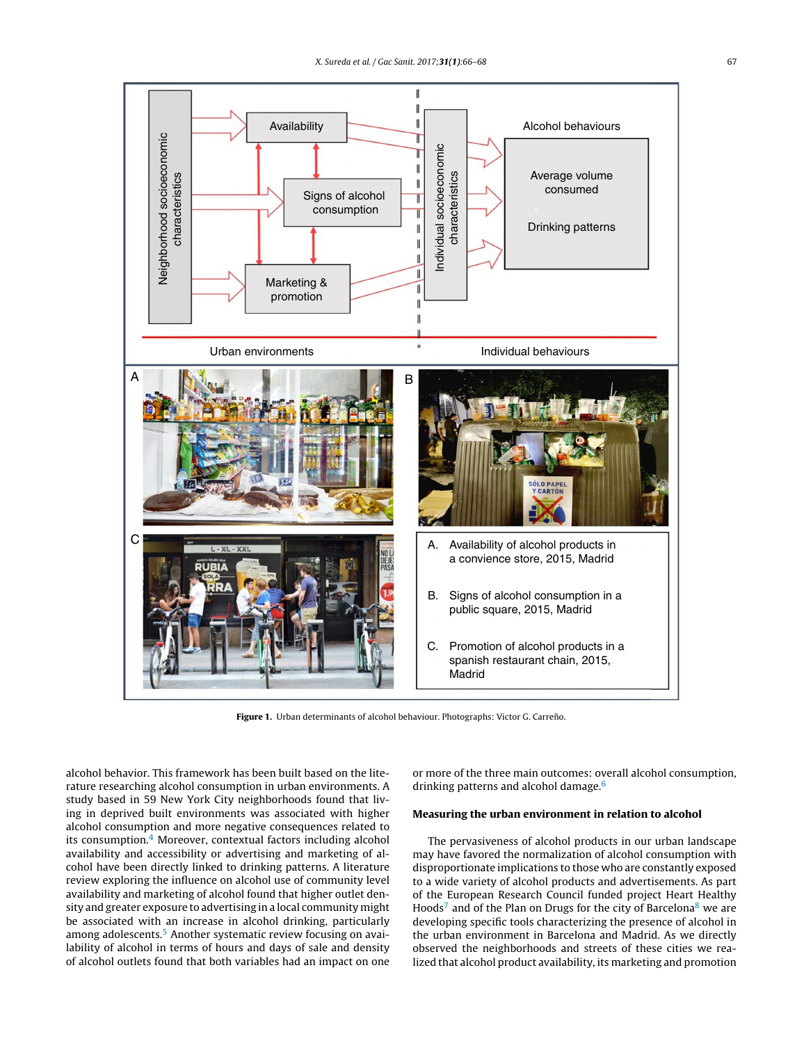<span id="page-1-0"></span>

Figure 1. Urban determinants of alcohol behaviour. Photographs: Victor G. Carreño.

alcohol behavior. This framework has been built based on the literature researching alcohol consumption in urban environments. A study based in 59 New York City neighborhoods found that living in deprived built environments was associated with higher alcohol consumption and more negative consequences related to its consumption.[4](#page-2-0) Moreover, contextual factors including alcohol availability and accessibility or advertising and marketing of alcohol have been directly linked to drinking patterns. A literature review exploring the influence on alcohol use of community level availability and marketing of alcohol found that higher outlet density and greater exposure to advertising in a local community might be associated with an increase in alcohol drinking, particularly among adolescents.<sup>5</sup> [A](#page-2-0)nother systematic review focusing on availability of alcohol in terms of hours and days of sale and density of alcohol outlets found that both variables had an impact on one or more of the three main outcomes: overall alcohol consumption, drinking patterns and alcohol damage.<sup>[6](#page-2-0)</sup>

# Measuring the urban environment in relation to alcohol

The pervasiveness of alcohol products in our urban landscape may have favored the normalization of alcohol consumption with disproportionate implications to those who are constantly exposed to a wide variety of alcohol products and advertisements. As part of the European Research Council funded project Heart Healthy Hoods<sup>7</sup> [a](#page-2-0)nd of the Plan on Drugs for the city of Barcelona<sup>[8](#page-2-0)</sup> we are developing specific tools characterizing the presence of alcohol in the urban environment in Barcelona and Madrid. As we directly observed the neighborhoods and streets of these cities we realized that alcohol product availability, its marketing and promotion